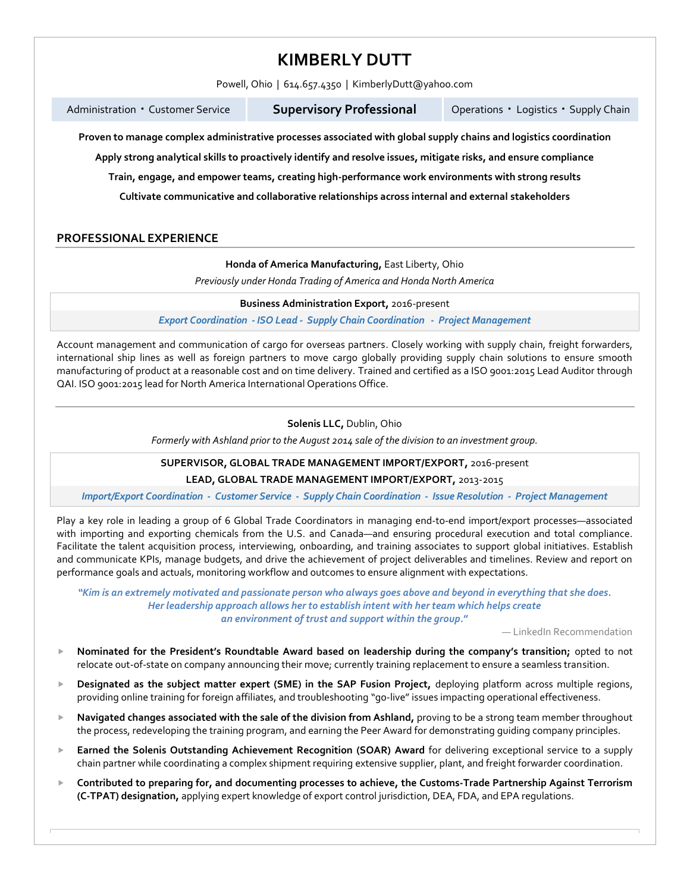# **KIMBERLY DUTT**

Powell, Ohio | 614.657.4350 | KimberlyDutt@yahoo.com

Administration • Customer Service

**Supervisory Professional** 

Logistics • Supply Chain

**Proven to manage complex administrative processes associated with global supply chains and logistics coordination**

**Apply strong analytical skills to proactively identify and resolve issues, mitigate risks, and ensure compliance**

**Train, engage, and empower teams, creating high-performance work environments with strong results**

**Cultivate communicative and collaborative relationships across internal and external stakeholders**

### **PROFESSIONAL EXPERIENCE**

**Honda of America Manufacturing,** East Liberty, Ohio

*Previously under Honda Trading of America and Honda North America*

**Business Administration Export,** 2016-present

*Export Coordination - ISO Lead - Supply Chain Coordination - Project Management*

Account management and communication of cargo for overseas partners. Closely working with supply chain, freight forwarders, international ship lines as well as foreign partners to move cargo globally providing supply chain solutions to ensure smooth manufacturing of product at a reasonable cost and on time delivery. Trained and certified as a ISO 9001:2015 Lead Auditor through QAI. ISO 9001:2015 lead for North America International Operations Office.

### **Solenis LLC,** Dublin, Ohio

*Formerly with Ashland prior to the August 2014 sale of the division to an investment group.*

**SUPERVISOR, GLOBAL TRADE MANAGEMENT IMPORT/EXPORT,** 2016-present

**LEAD, GLOBAL TRADE MANAGEMENT IMPORT/EXPORT,** 2013-2015

*Import/Export Coordination - Customer Service - Supply Chain Coordination - Issue Resolution - Project Management*

Play a key role in leading a group of 6 Global Trade Coordinators in managing end-to-end import/export processes—associated with importing and exporting chemicals from the U.S. and Canada—and ensuring procedural execution and total compliance. Facilitate the talent acquisition process, interviewing, onboarding, and training associates to support global initiatives. Establish and communicate KPIs, manage budgets, and drive the achievement of project deliverables and timelines. Review and report on performance goals and actuals, monitoring workflow and outcomes to ensure alignment with expectations.

*"Kim is an extremely motivated and passionate person who always goes above and beyond in everything that she does. Her leadership approach allows her to establish intent with her team which helps create an environment of trust and support within the group.***"**

— LinkedIn Recommendation

- **Nominated for the President's Roundtable Award based on leadership during the company's transition;** opted to not relocate out-of-state on company announcing their move; currently training replacement to ensure a seamless transition.
- **Designated as the subject matter expert (SME) in the SAP Fusion Project,** deploying platform across multiple regions, providing online training for foreign affiliates, and troubleshooting "go-live" issues impacting operational effectiveness.
- **Navigated changes associated with the sale of the division from Ashland,** proving to be a strong team member throughout the process, redeveloping the training program, and earning the Peer Award for demonstrating guiding company principles.
- **Earned the Solenis Outstanding Achievement Recognition (SOAR) Award** for delivering exceptional service to a supply chain partner while coordinating a complex shipment requiring extensive supplier, plant, and freight forwarder coordination.
- **Contributed to preparing for, and documenting processes to achieve, the Customs-Trade Partnership Against Terrorism (C-TPAT) designation,** applying expert knowledge of export control jurisdiction, DEA, FDA, and EPA regulations.